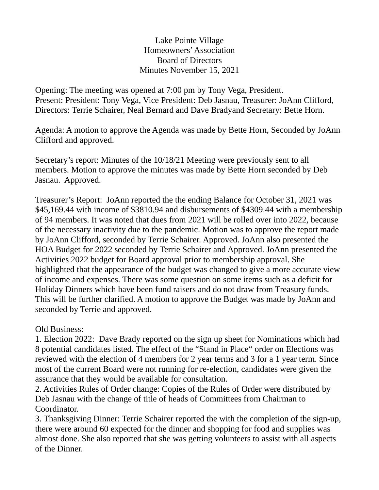Lake Pointe Village Homeowners' Association Board of Directors Minutes November 15, 2021

Opening: The meeting was opened at 7:00 pm by Tony Vega, President. Present: President: Tony Vega, Vice President: Deb Jasnau, Treasurer: JoAnn Clifford, Directors: Terrie Schairer, Neal Bernard and Dave Bradyand Secretary: Bette Horn.

Agenda: A motion to approve the Agenda was made by Bette Horn, Seconded by JoAnn Clifford and approved.

Secretary's report: Minutes of the 10/18/21 Meeting were previously sent to all members. Motion to approve the minutes was made by Bette Horn seconded by Deb Jasnau. Approved.

Treasurer's Report: JoAnn reported the the ending Balance for October 31, 2021 was \$45,169.44 with income of \$3810.94 and disbursements of \$4309.44 with a membership of 94 members. It was noted that dues from 2021 will be rolled over into 2022, because of the necessary inactivity due to the pandemic. Motion was to approve the report made by JoAnn Clifford, seconded by Terrie Schairer. Approved. JoAnn also presented the HOA Budget for 2022 seconded by Terrie Schairer and Approved. JoAnn presented the Activities 2022 budget for Board approval prior to membership approval. She highlighted that the appearance of the budget was changed to give a more accurate view of income and expenses. There was some question on some items such as a deficit for Holiday Dinners which have been fund raisers and do not draw from Treasury funds. This will be further clarified. A motion to approve the Budget was made by JoAnn and seconded by Terrie and approved.

Old Business:

1. Election 2022: Dave Brady reported on the sign up sheet for Nominations which had 8 potential candidates listed. The effect of the "Stand in Place" order on Elections was reviewed with the election of 4 members for 2 year terms and 3 for a 1 year term. Since most of the current Board were not running for re-election, candidates were given the assurance that they would be available for consultation.

2. Activities Rules of Order change: Copies of the Rules of Order were distributed by Deb Jasnau with the change of title of heads of Committees from Chairman to Coordinator.

3. Thanksgiving Dinner: Terrie Schairer reported the with the completion of the sign-up, there were around 60 expected for the dinner and shopping for food and supplies was almost done. She also reported that she was getting volunteers to assist with all aspects of the Dinner.